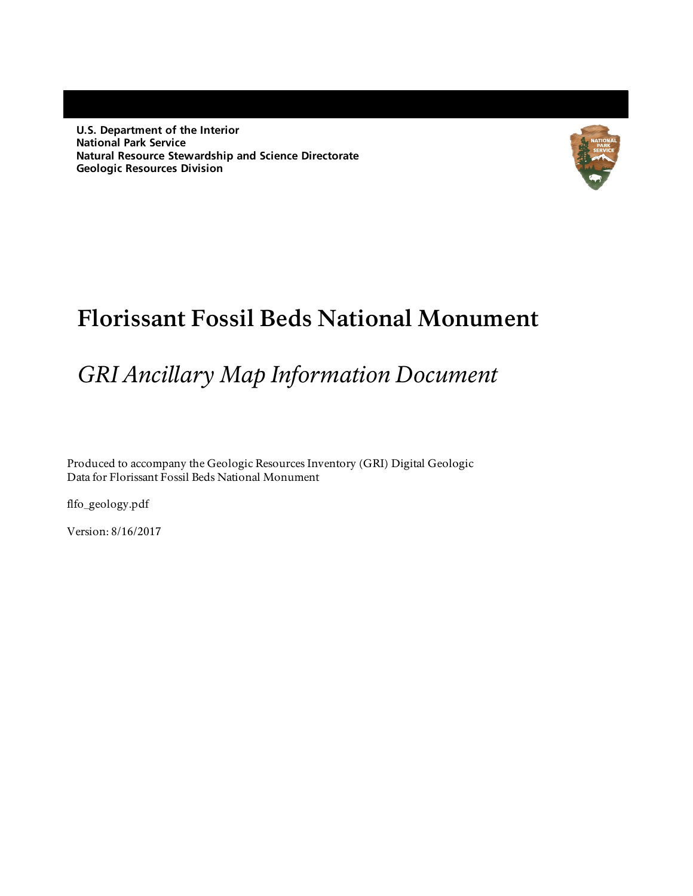**U.S. Department of the Interior National Park Service Natural Resource Stewardship and Science Directorate Geologic Resources Division**



# **Florissant Fossil Beds National Monument**

# *GRI Ancillary Map Information Document*

Produced to accompany the Geologic Resources Inventory (GRI) Digital Geologic Data for Florissant Fossil Beds National Monument

flfo\_geology.pdf

Version: 8/16/2017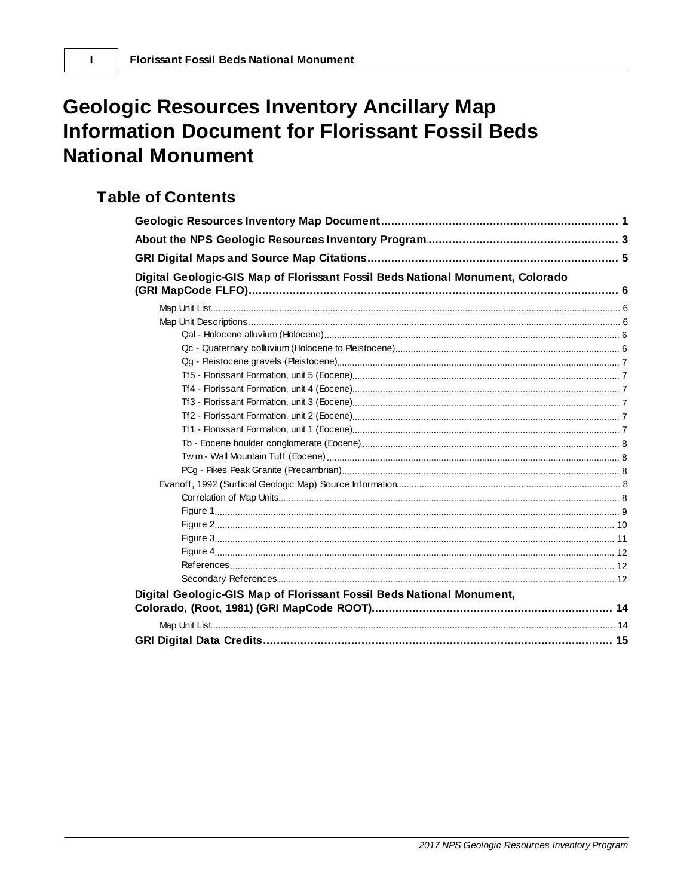# **Geologic Resources Inventory Ancillary Map Information Document for Florissant Fossil Beds National Monument**

# **Table of Contents**

 $\mathbf{I}$ 

| Digital Geologic-GIS Map of Florissant Fossil Beds National Monument, Colorado |  |
|--------------------------------------------------------------------------------|--|
|                                                                                |  |
|                                                                                |  |
|                                                                                |  |
|                                                                                |  |
|                                                                                |  |
|                                                                                |  |
|                                                                                |  |
|                                                                                |  |
|                                                                                |  |
|                                                                                |  |
|                                                                                |  |
|                                                                                |  |
|                                                                                |  |
|                                                                                |  |
|                                                                                |  |
|                                                                                |  |
|                                                                                |  |
|                                                                                |  |
|                                                                                |  |
|                                                                                |  |
|                                                                                |  |
|                                                                                |  |
| Digital Geologic-GIS Map of Florissant Fossil Beds National Monument,          |  |
|                                                                                |  |
|                                                                                |  |
|                                                                                |  |
|                                                                                |  |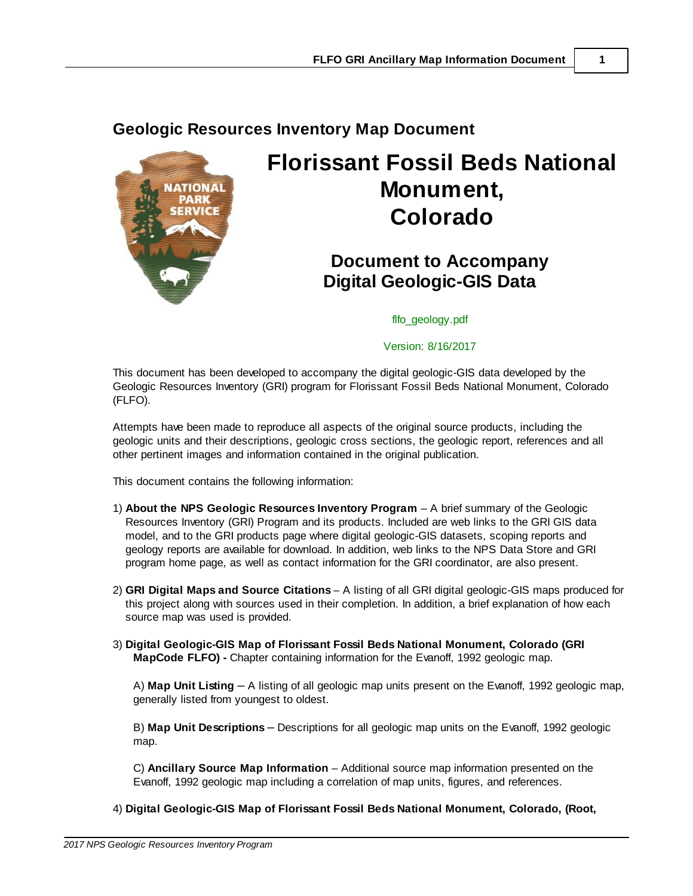# <span id="page-2-0"></span>**Geologic Resources Inventory Map Document**



# **Florissant Fossil Beds National Monument, Colorado**

# **Document to Accompany Digital Geologic-GIS Data**

#### flfo\_geology.pdf

#### Version: 8/16/2017

This document has been developed to accompany the digital geologic-GIS data developed by the Geologic Resources Inventory (GRI) program for Florissant Fossil Beds National Monument, Colorado (FLFO).

Attempts have been made to reproduce all aspects of the original source products, including the geologic units and their descriptions, geologic cross sections, the geologic report, references and all other pertinent images and information contained in the original publication.

This document contains the following information:

- 1) **About the NPS Geologic Resources Inventory Program** A brief summary of the Geologic Resources Inventory (GRI) Program and its products. Included are web links to the GRI GIS data model, and to the GRI products page where digital geologic-GIS datasets, scoping reports and geology reports are available for download. In addition, web links to the NPS Data Store and GRI program home page, as well as contact information for the GRI coordinator, are also present.
- 2) **GRI Digital Maps and Source Citations** A listing of all GRI digital geologic-GIS maps produced for this project along with sources used in their completion. In addition, a brief explanation of how each source map was used is provided.
- 3) **Digital Geologic-GIS Map of Florissant Fossil Beds National Monument, Colorado (GRI MapCode FLFO) -** Chapter containing information for the Evanoff, 1992 geologic map.

A) **Map Unit Listing** – A listing of all geologic map units present on the Evanoff, 1992 geologic map, generally listed from youngest to oldest.

B) **Map Unit Descriptions** – Descriptions for all geologic map units on the Evanoff, 1992 geologic map.

C) **Ancillary Source Map Information** – Additional source map information presented on the Evanoff, 1992 geologic map including a correlation of map units, figures, and references.

4) **Digital Geologic-GIS Map of Florissant Fossil Beds National Monument, Colorado, (Root,**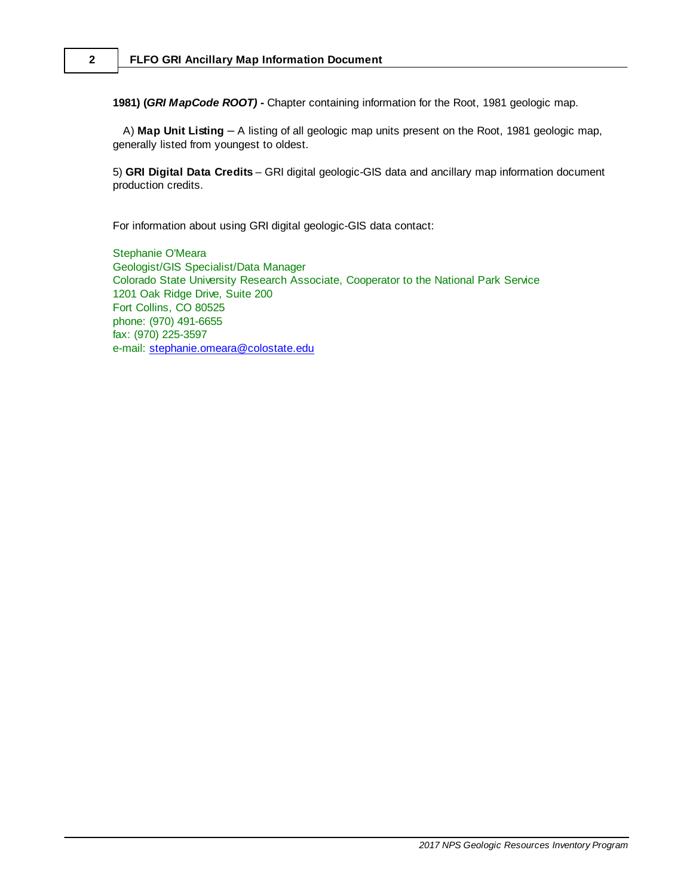**1981) (***GRI MapCode ROOT)* **-** Chapter containing information for the Root, 1981 geologic map.

A) **Map Unit Listing** – A listing of all geologic map units present on the Root, 1981 geologic map, generally listed from youngest to oldest.

5) **GRI Digital Data Credits** – GRI digital geologic-GIS data and ancillary map information document production credits.

For information about using GRI digital geologic-GIS data contact:

Stephanie O'Meara Geologist/GIS Specialist/Data Manager Colorado State University Research Associate, Cooperator to the National Park Service 1201 Oak Ridge Drive, Suite 200 Fort Collins, CO 80525 phone: (970) 491-6655 fax: (970) 225-3597 e-mail: [stephanie.omeara@colostate.edu](mailto:stephanie.omeara@colostate.edu)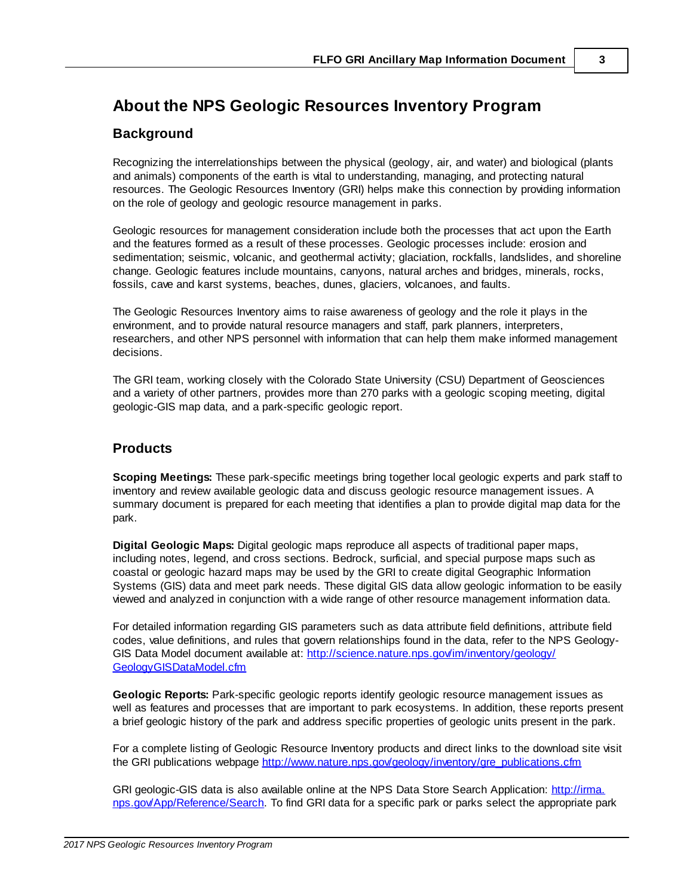# <span id="page-4-0"></span>**About the NPS Geologic Resources Inventory Program**

## **Background**

Recognizing the interrelationships between the physical (geology, air, and water) and biological (plants and animals) components of the earth is vital to understanding, managing, and protecting natural resources. The Geologic Resources Inventory (GRI) helps make this connection by providing information on the role of geology and geologic resource management in parks.

Geologic resources for management consideration include both the processes that act upon the Earth and the features formed as a result of these processes. Geologic processes include: erosion and sedimentation; seismic, volcanic, and geothermal activity; glaciation, rockfalls, landslides, and shoreline change. Geologic features include mountains, canyons, natural arches and bridges, minerals, rocks, fossils, cave and karst systems, beaches, dunes, glaciers, volcanoes, and faults.

The Geologic Resources Inventory aims to raise awareness of geology and the role it plays in the environment, and to provide natural resource managers and staff, park planners, interpreters, researchers, and other NPS personnel with information that can help them make informed management decisions.

The GRI team, working closely with the Colorado State University (CSU) Department of Geosciences and a variety of other partners, provides more than 270 parks with a geologic scoping meeting, digital geologic-GIS map data, and a park-specific geologic report.

## **Products**

**Scoping Meetings:** These park-specific meetings bring together local geologic experts and park staff to inventory and review available geologic data and discuss geologic resource management issues. A summary document is prepared for each meeting that identifies a plan to provide digital map data for the park.

**Digital Geologic Maps:** Digital geologic maps reproduce all aspects of traditional paper maps, including notes, legend, and cross sections. Bedrock, surficial, and special purpose maps such as coastal or geologic hazard maps may be used by the GRI to create digital Geographic Information Systems (GIS) data and meet park needs. These digital GIS data allow geologic information to be easily viewed and analyzed in conjunction with a wide range of other resource management information data.

For detailed information regarding GIS parameters such as data attribute field definitions, attribute field codes, value definitions, and rules that govern relationships found in the data, refer to the NPS Geology-GIS Data Model document available at: http://science.nature.nps.gov/im/inventory/geology/ GeologyGISDataModel.cfm

**Geologic Reports:** Park-specific geologic reports identify geologic resource management issues as well as features and processes that are important to park ecosystems. In addition, these reports present a brief geologic history of the park and address specific properties of geologic units present in the park.

For a complete listing of Geologic Resource Inventory products and direct links to the download site visit the GRI publications webpage [http://www.nature.nps.gov/geology/inventory/gre\\_publications.cfm](http://www.nature.nps.gov/geology/inventory/gre_publications.cfm)

GRI geologic-GIS data is also available online at the NPS Data Store Search Application: [http://irma.](http://irma.nps.gov/App/Reference/Search) [nps.gov/App/Reference/Search](http://irma.nps.gov/App/Reference/Search). To find GRI data for a specific park or parks select the appropriate park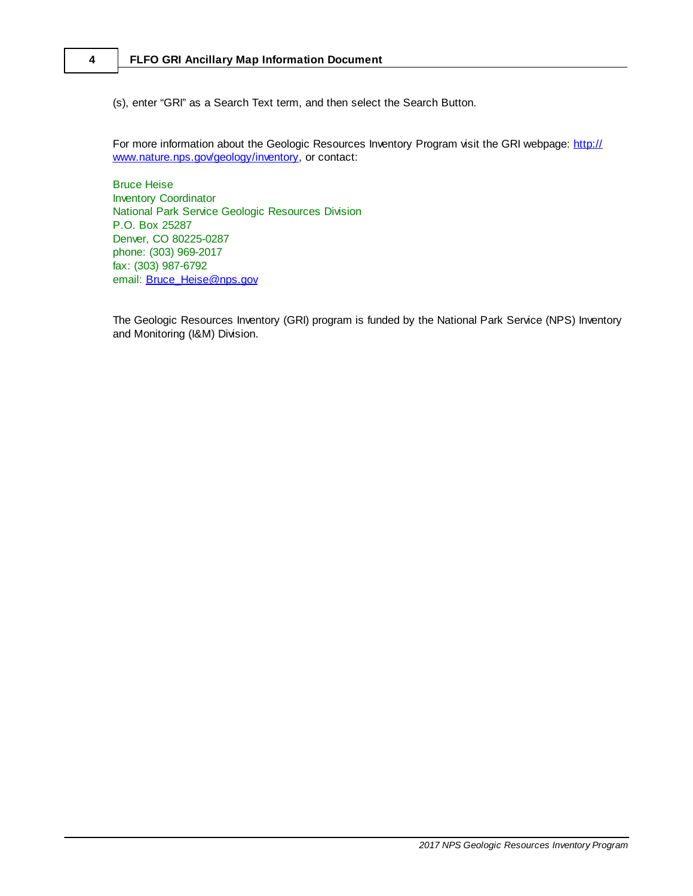### **4 FLFO GRI Ancillary Map Information Document**

(s), enter "GRI" as a Search Text term, and then select the Search Button.

For more information about the Geologic Resources Inventory Program visit the GRI webpage: http:// www.nature.nps.gov/geology/inventory, or contact:

Bruce Heise Inventory Coordinator National Park Service Geologic Resources Division P.O. Box 25287 Denver, CO 80225-0287 phone: (303) 969-2017 fax: (303) 987-6792 email: **[Bruce\\_Heise@nps.gov](mailto:Bruce_Heise@nps.gov)** 

The Geologic Resources Inventory (GRI) program is funded by the National Park Service (NPS) Inventory and Monitoring (I&M) Division.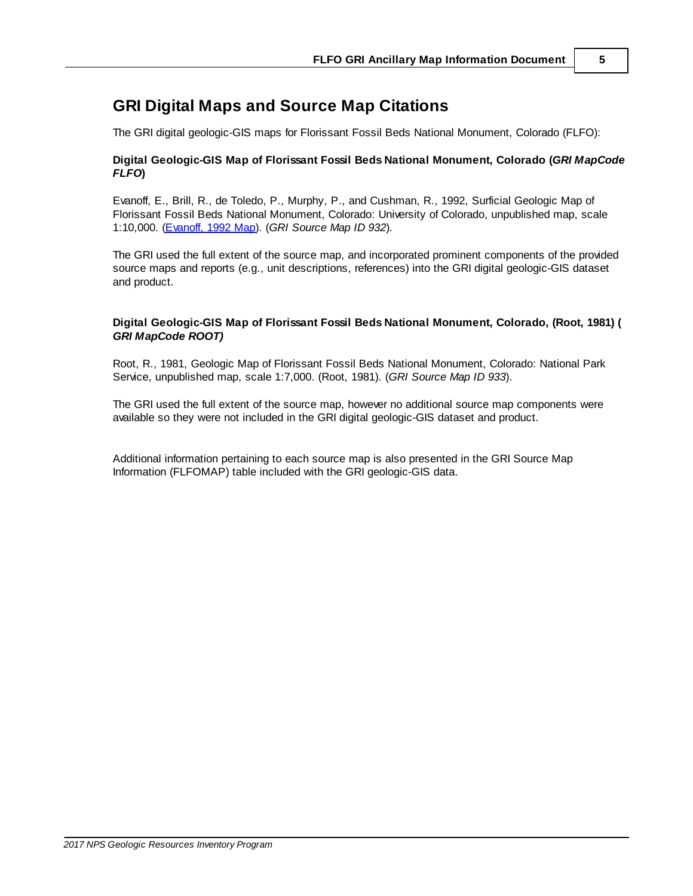# <span id="page-6-0"></span>**GRI Digital Maps and Source Map Citations**

The GRI digital geologic-GIS maps for Florissant Fossil Beds National Monument, Colorado (FLFO):

#### **Digital Geologic-GIS Map of Florissant Fossil Beds National Monument, Colorado (***GRI MapCode FLFO***)**

Evanoff, E., Brill, R., de Toledo, P., Murphy, P., and Cushman, R., 1992, Surficial Geologic Map of Florissant Fossil Beds National Monument, Colorado: University of Colorado, unpublished map, scale 1:10,000. (Evanoff, 1992 Map). (*GRI Source Map ID 932*).

The GRI used the full extent of the source map, and incorporated prominent components of the provided source maps and reports (e.g., unit descriptions, references) into the GRI digital geologic-GIS dataset and product.

#### **Digital Geologic-GIS Map of Florissant Fossil Beds National Monument, Colorado, (Root, 1981) (** *GRI MapCode ROOT)*

Root, R., 1981, Geologic Map of Florissant Fossil Beds National Monument, Colorado: National Park Service, unpublished map, scale 1:7,000. (Root, 1981). (*GRI Source Map ID 933*).

The GRI used the full extent of the source map, however no additional source map components were available so they were not included in the GRI digital geologic-GIS dataset and product.

Additional information pertaining to each source map is also presented in the GRI Source Map Information (FLFOMAP) table included with the GRI geologic-GIS data.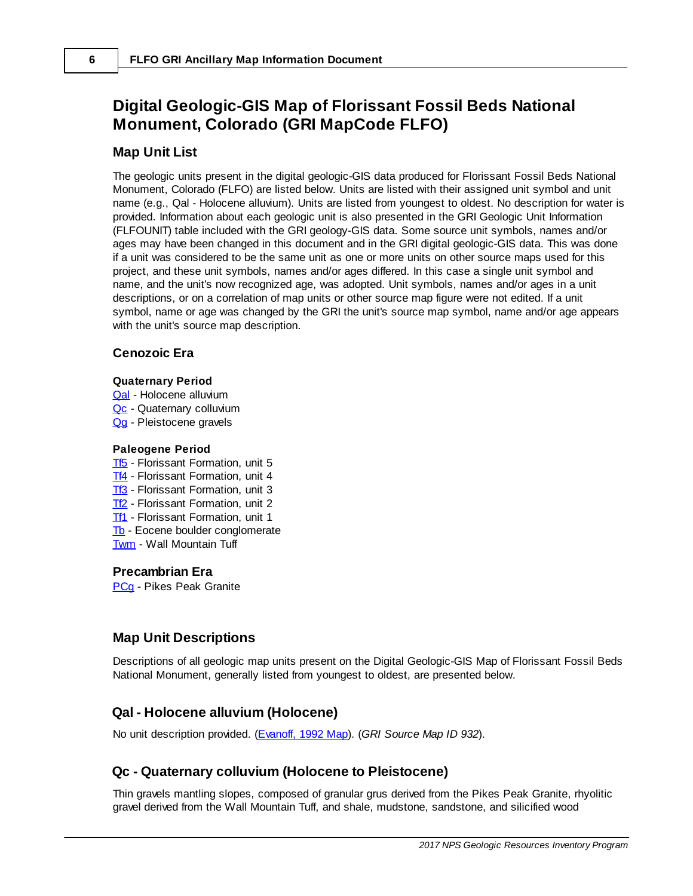# <span id="page-7-0"></span>**Digital Geologic-GIS Map of Florissant Fossil Beds National Monument, Colorado (GRI MapCode FLFO)**

### **Map Unit List**

The geologic units present in the digital geologic-GIS data produced for Florissant Fossil Beds National Monument, Colorado (FLFO) are listed below. Units are listed with their assigned unit symbol and unit name (e.g., Qal - Holocene alluvium). Units are listed from youngest to oldest. No description for water is provided. Information about each geologic unit is also presented in the GRI Geologic Unit Information (FLFOUNIT) table included with the GRI geology-GIS data. Some source unit symbols, names and/or ages may have been changed in this document and in the GRI digital geologic-GIS data. This was done if a unit was considered to be the same unit as one or more units on other source maps used for this project, and these unit symbols, names and/or ages differed. In this case a single unit symbol and name, and the unit's now recognized age, was adopted. Unit symbols, names and/or ages in a unit descriptions, or on a correlation of map units or other source map figure were not edited. If a unit symbol, name or age was changed by the GRI the unit's source map symbol, name and/or age appears with the unit's source map description.

#### **Cenozoic Era**

#### **Quaternary Period**

- [Qal](#page-7-2) Holocene alluvium
- [Qc](#page-7-3) Quaternary colluvium
- [Qg](#page-8-0) Pleistocene gravels

#### **Paleogene Period**

- [Tf5](#page-8-1) Florissant Formation, unit 5
- Tf4 Florissant Formation, unit 4
- Tf3 Florissant Formation, unit 3
- Tf<sub>2</sub> Florissant Formation, unit 2
- **[Tf1](#page-8-3)** Florissant Formation, unit 1
- Tb Eocene boulder conglomerate
- Twm Wall Mountain Tuff

### **Precambrian Era**

**[PCg](#page-9-0)** - Pikes Peak Granite

## <span id="page-7-1"></span>**Map Unit Descriptions**

Descriptions of all geologic map units present on the Digital Geologic-GIS Map of Florissant Fossil Beds National Monument, generally listed from youngest to oldest, are presented below.

## <span id="page-7-2"></span>**Qal - Holocene alluvium (Holocene)**

No unit description provided. (Evanoff, 1992 Map). (*GRI Source Map ID 932*).

## <span id="page-7-3"></span>**Qc - Quaternary colluvium (Holocene to Pleistocene)**

Thin gravels mantling slopes, composed of granular grus derived from the Pikes Peak Granite, rhyolitic gravel derived from the Wall Mountain Tuff, and shale, mudstone, sandstone, and silicified wood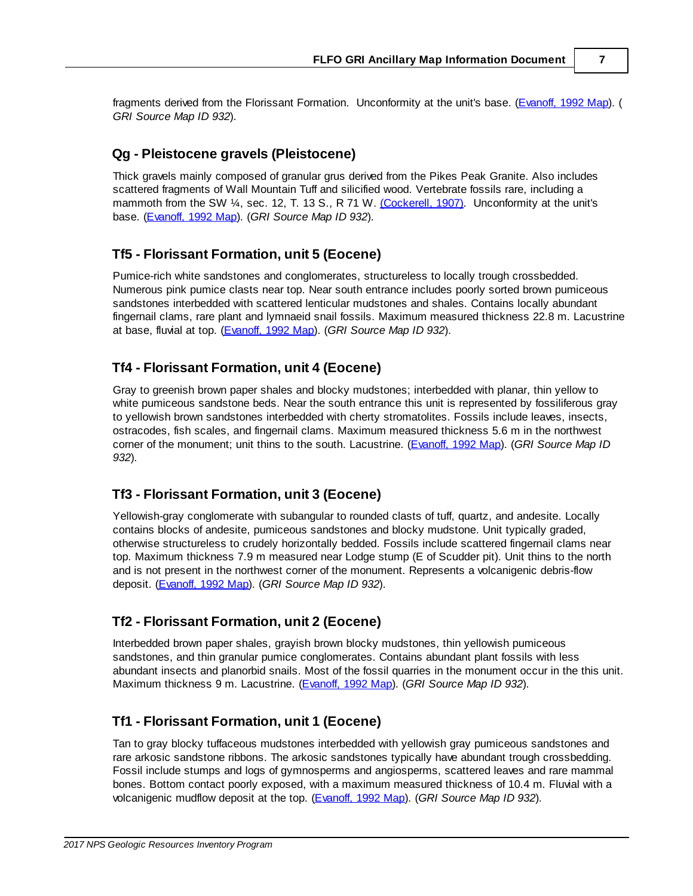fragments derived from the Florissant Formation. Unconformity at the unit's base. (Evanoff, 1992 Map). *GRI Source Map ID 932*).

### <span id="page-8-0"></span>**Qg - Pleistocene gravels (Pleistocene)**

Thick gravels mainly composed of granular grus derived from the Pikes Peak Granite. Also includes scattered fragments of Wall Mountain Tuff and silicified wood. Vertebrate fossils rare, including a mammoth from the SW  $\frac{1}{4}$ , sec. 12, T. 13 S., R 71 W. [\(Cockerell,](#page-13-1) 1907). Unconformity at the unit's base. (Evanoff, 1992 Map). (*GRI Source Map ID 932*).

### <span id="page-8-1"></span>**Tf5 - Florissant Formation, unit 5 (Eocene)**

Pumice-rich white sandstones and conglomerates, structureless to locally trough crossbedded. Numerous pink pumice clasts near top. Near south entrance includes poorly sorted brown pumiceous sandstones interbedded with scattered lenticular mudstones and shales. Contains locally abundant fingernail clams, rare plant and lymnaeid snail fossils. Maximum measured thickness 22.8 m. Lacustrine at base, fluvial at top. (Evanoff, 1992 Map). (*GRI Source Map ID 932*).

### **Tf4 - Florissant Formation, unit 4 (Eocene)**

Gray to greenish brown paper shales and blocky mudstones; interbedded with planar, thin yellow to white pumiceous sandstone beds. Near the south entrance this unit is represented by fossiliferous gray to yellowish brown sandstones interbedded with cherty stromatolites. Fossils include leaves, insects, ostracodes, fish scales, and fingernail clams. Maximum measured thickness 5.6 m in the northwest corner of the monument; unit thins to the south. Lacustrine. (Evanoff, 1992 Map). (*GRI Source Map ID 932*).

## **Tf3 - Florissant Formation, unit 3 (Eocene)**

Yellowish-gray conglomerate with subangular to rounded clasts of tuff, quartz, and andesite. Locally contains blocks of andesite, pumiceous sandstones and blocky mudstone. Unit typically graded, otherwise structureless to crudely horizontally bedded. Fossils include scattered fingernail clams near top. Maximum thickness 7.9 m measured near Lodge stump (E of Scudder pit). Unit thins to the north and is not present in the northwest corner of the monument. Represents a volcanigenic debris-flow deposit. (Evanoff, 1992 Map). (*GRI Source Map ID 932*).

## <span id="page-8-2"></span>**Tf2 - Florissant Formation, unit 2 (Eocene)**

Interbedded brown paper shales, grayish brown blocky mudstones, thin yellowish pumiceous sandstones, and thin granular pumice conglomerates. Contains abundant plant fossils with less abundant insects and planorbid snails. Most of the fossil quarries in the monument occur in the this unit. Maximum thickness 9 m. Lacustrine. (Evanoff, 1992 Map). (*GRI Source Map ID 932*).

## <span id="page-8-3"></span>**Tf1 - Florissant Formation, unit 1 (Eocene)**

Tan to gray blocky tuffaceous mudstones interbedded with yellowish gray pumiceous sandstones and rare arkosic sandstone ribbons. The arkosic sandstones typically have abundant trough crossbedding. Fossil include stumps and logs of gymnosperms and angiosperms, scattered leaves and rare mammal bones. Bottom contact poorly exposed, with a maximum measured thickness of 10.4 m. Fluvial with a volcanigenic mudflow deposit at the top. (Evanoff, 1992 Map). (*GRI Source Map ID 932*).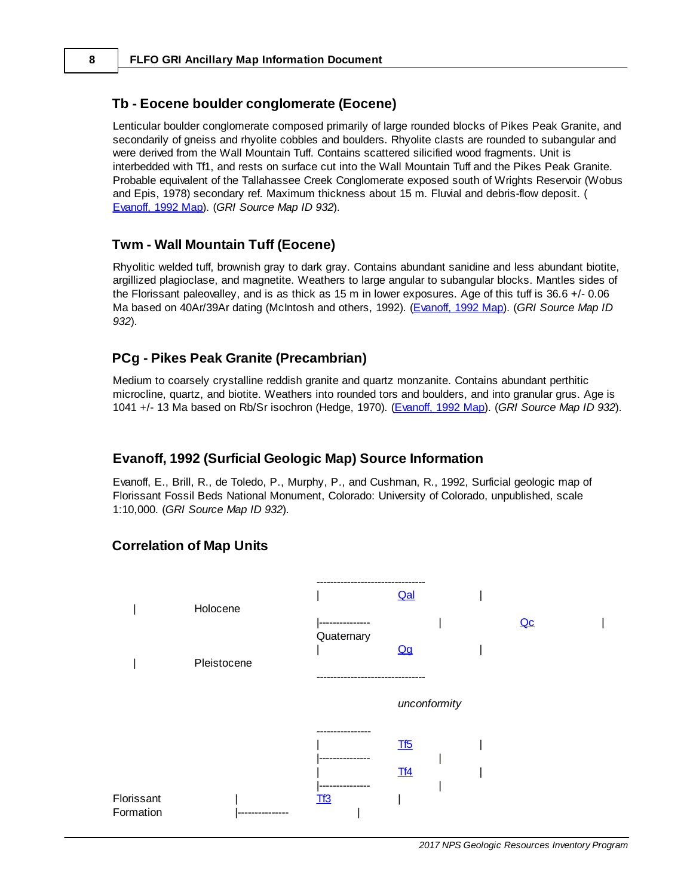### **Tb - Eocene boulder conglomerate (Eocene)**

Lenticular boulder conglomerate composed primarily of large rounded blocks of Pikes Peak Granite, and secondarily of gneiss and rhyolite cobbles and boulders. Rhyolite clasts are rounded to subangular and were derived from the Wall Mountain Tuff. Contains scattered silicified wood fragments. Unit is interbedded with Tf1, and rests on surface cut into the Wall Mountain Tuff and the Pikes Peak Granite. Probable equivalent of the Tallahassee Creek Conglomerate exposed south of Wrights Reservoir (Wobus and Epis, 1978) secondary ref. Maximum thickness about 15 m. Fluvial and debris-flow deposit. ( Evanoff, 1992 Map). (*GRI Source Map ID 932*).

### **Twm - Wall Mountain Tuff (Eocene)**

Rhyolitic welded tuff, brownish gray to dark gray. Contains abundant sanidine and less abundant biotite, argillized plagioclase, and magnetite. Weathers to large angular to subangular blocks. Mantles sides of the Florissant paleovalley, and is as thick as 15 m in lower exposures. Age of this tuff is 36.6 +/- 0.06 Ma based on 40Ar/39Ar dating (McIntosh and others, 1992). (Evanoff, 1992 Map). (*GRI Source Map ID 932*).

### <span id="page-9-0"></span>**PCg - Pikes Peak Granite (Precambrian)**

Medium to coarsely crystalline reddish granite and quartz monzanite. Contains abundant perthitic microcline, quartz, and biotite. Weathers into rounded tors and boulders, and into granular grus. Age is 1041 +/- 13 Ma based on Rb/Sr isochron (Hedge, 1970). (Evanoff, 1992 Map). (*GRI Source Map ID 932*).

#### **Evanoff, 1992 (Surficial Geologic Map) Source Information**

Evanoff, E., Brill, R., de Toledo, P., Murphy, P., and Cushman, R., 1992, Surficial geologic map of Florissant Fossil Beds National Monument, Colorado: University of Colorado, unpublished, scale 1:10,000. (*GRI Source Map ID 932*).

### **Correlation of Map Units**

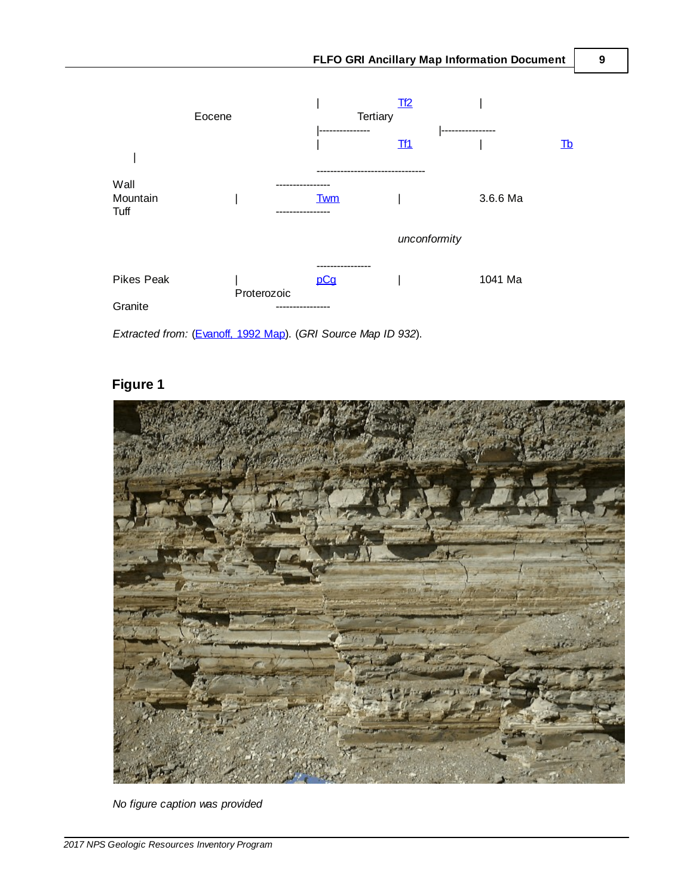

*Extracted from:* (Evanoff, 1992 Map). (*GRI Source Map ID 932*).

## <span id="page-10-0"></span>**Figure 1**



*No figure caption was provided*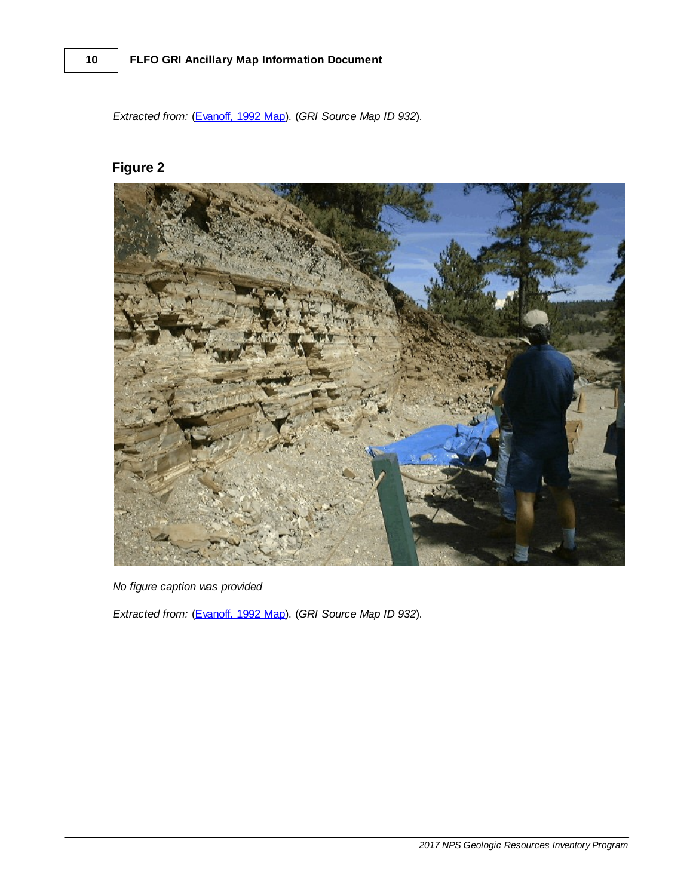*Extracted from:* (Evanoff, 1992 Map). (*GRI Source Map ID 932*).

# **Figure 2**



*No figure caption was provided*

*Extracted from:* (Evanoff, 1992 Map). (*GRI Source Map ID 932*).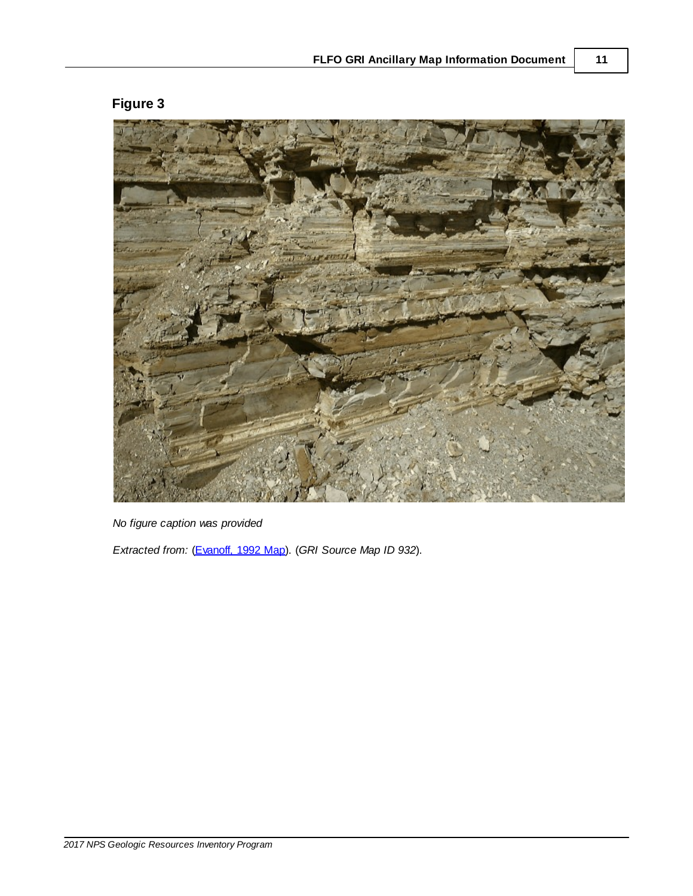# **Figure 3**

<span id="page-12-0"></span>

*No figure caption was provided*

*Extracted from:* (Evanoff, 1992 Map). (*GRI Source Map ID 932*).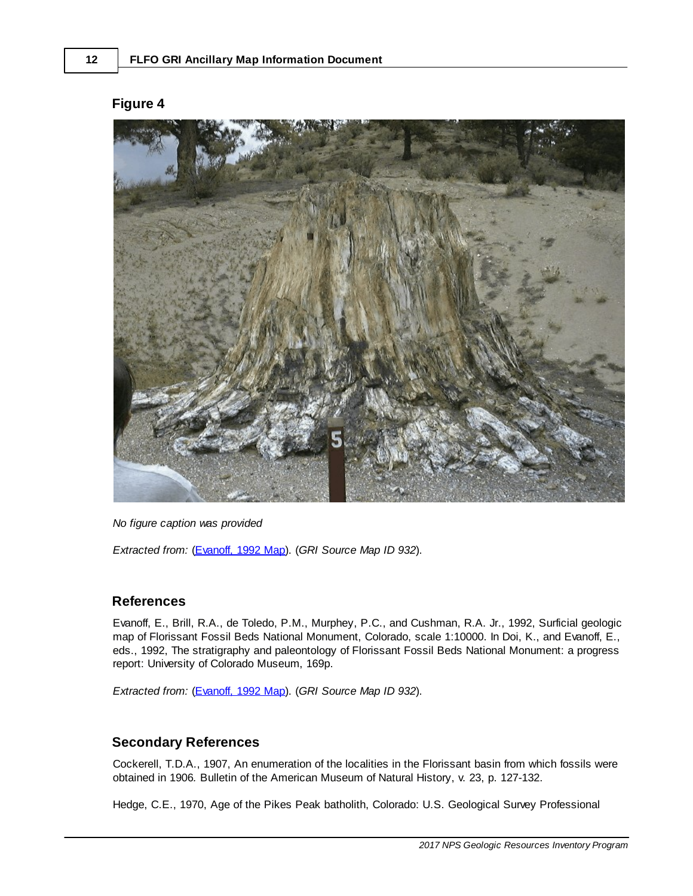<span id="page-13-0"></span>

#### **Figure 4**

*No figure caption was provided*

*Extracted from:* (Evanoff, 1992 Map). (*GRI Source Map ID 932*).

### **References**

Evanoff, E., Brill, R.A., de Toledo, P.M., Murphey, P.C., and Cushman, R.A. Jr., 1992, Surficial geologic map of Florissant Fossil Beds National Monument, Colorado, scale 1:10000. In Doi, K., and Evanoff, E., eds., 1992, The stratigraphy and paleontology of Florissant Fossil Beds National Monument: a progress report: University of Colorado Museum, 169p.

*Extracted from:* (Evanoff, 1992 Map). (*GRI Source Map ID 932*).

## <span id="page-13-1"></span>**Secondary References**

Cockerell, T.D.A., 1907, An enumeration of the localities in the Florissant basin from which fossils were obtained in 1906*.* Bulletin of the American Museum of Natural History, v. 23, p. 127-132.

Hedge, C.E., 1970, Age of the Pikes Peak batholith, Colorado: U.S. Geological Survey Professional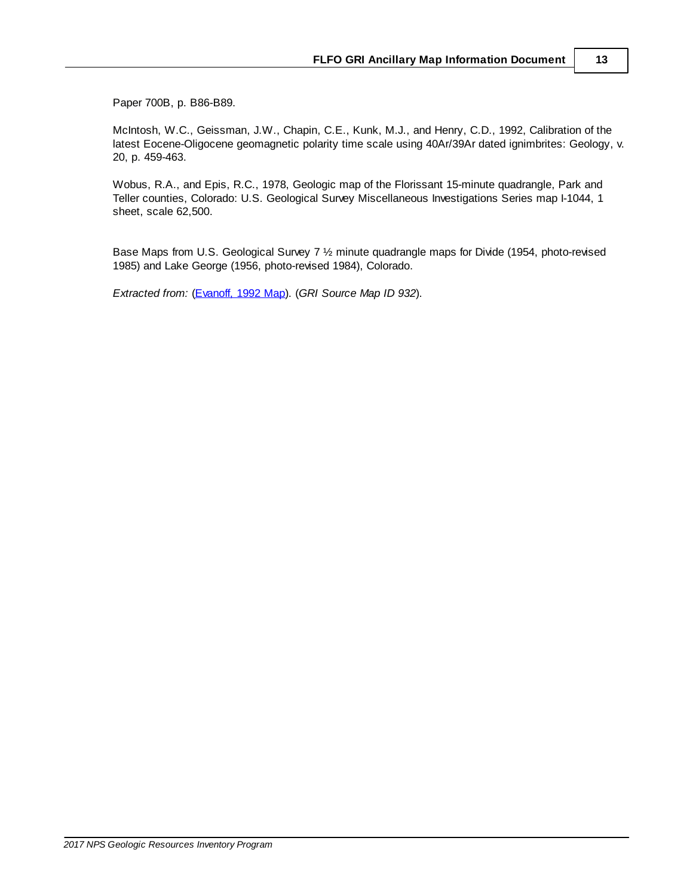Paper 700B, p. B86-B89.

McIntosh, W.C., Geissman, J.W., Chapin, C.E., Kunk, M.J., and Henry, C.D., 1992, Calibration of the latest Eocene-Oligocene geomagnetic polarity time scale using 40Ar/39Ar dated ignimbrites: Geology, v. 20, p. 459-463.

Wobus, R.A., and Epis, R.C., 1978, Geologic map of the Florissant 15-minute quadrangle, Park and Teller counties, Colorado: U.S. Geological Survey Miscellaneous Investigations Series map I-1044, 1 sheet, scale 62,500.

Base Maps from U.S. Geological Survey 7 ½ minute quadrangle maps for Divide (1954, photo-revised 1985) and Lake George (1956, photo-revised 1984), Colorado.

*Extracted from:* (Evanoff, 1992 Map). (*GRI Source Map ID 932*).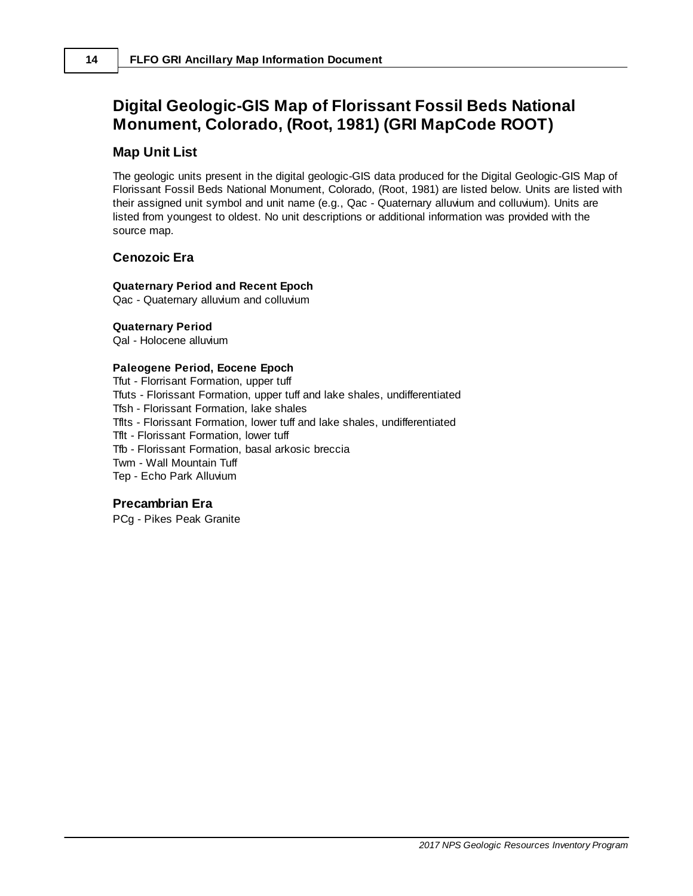# <span id="page-15-0"></span>**Digital Geologic-GIS Map of Florissant Fossil Beds National Monument, Colorado, (Root, 1981) (GRI MapCode ROOT)**

#### **Map Unit List**

The geologic units present in the digital geologic-GIS data produced for the Digital Geologic-GIS Map of Florissant Fossil Beds National Monument, Colorado, (Root, 1981) are listed below. Units are listed with their assigned unit symbol and unit name (e.g., Qac - Quaternary alluvium and colluvium). Units are listed from youngest to oldest. No unit descriptions or additional information was provided with the source map.

#### **Cenozoic Era**

#### **Quaternary Period and Recent Epoch**

Qac - Quaternary alluvium and colluvium

#### **Quaternary Period**

Qal - Holocene alluvium

#### **Paleogene Period, Eocene Epoch**

Tfut - Florrisant Formation, upper tuff Tfuts - Florissant Formation, upper tuff and lake shales, undifferentiated Tfsh - Florissant Formation, lake shales Tflts - Florissant Formation, lower tuff and lake shales, undifferentiated Tflt - Florissant Formation, lower tuff Tfb - Florissant Formation, basal arkosic breccia Twm - Wall Mountain Tuff Tep - Echo Park Alluvium

#### **Precambrian Era**

PCg - Pikes Peak Granite